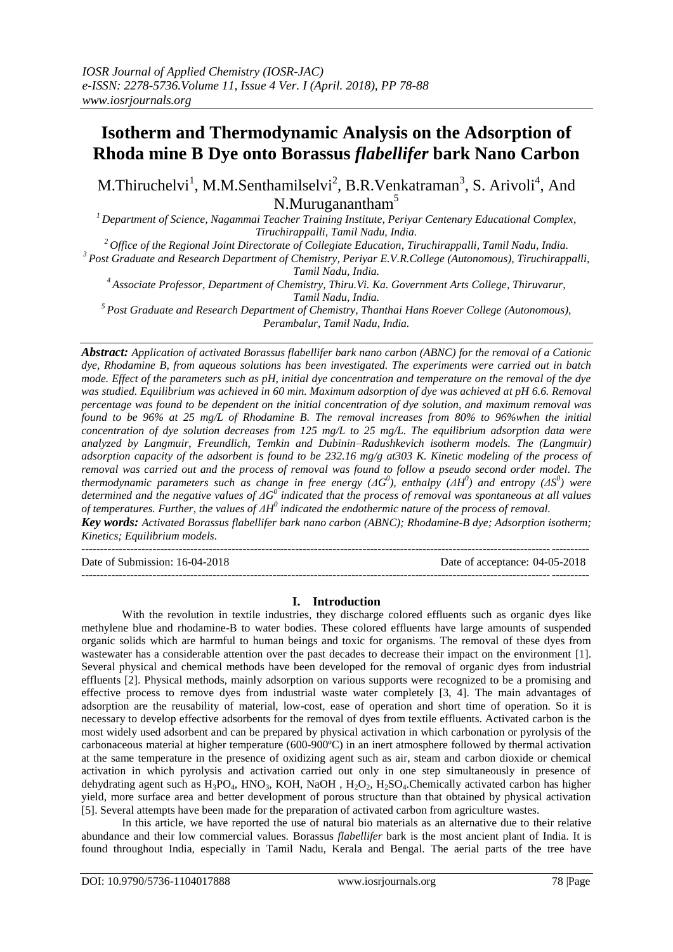# **Isotherm and Thermodynamic Analysis on the Adsorption of Rhoda mine B Dye onto Borassus** *flabellifer* **bark Nano Carbon**

M. Thiruchelvi<sup>1</sup>, M.M. Senthamilselvi<sup>2</sup>, B.R. Venkatraman<sup>3</sup>, S. Arivoli<sup>4</sup>, And N.Muruganantham<sup>5</sup>

*<sup>1</sup>Department of Science, Nagammai Teacher Training Institute, Periyar Centenary Educational Complex, Tiruchirappalli, Tamil Nadu, India.*

*<sup>2</sup>Office of the Regional Joint Directorate of Collegiate Education, Tiruchirappalli, Tamil Nadu, India.*

*<sup>3</sup>Post Graduate and Research Department of Chemistry, Periyar E.V.R.College (Autonomous), Tiruchirappalli, Tamil Nadu, India.*

*<sup>4</sup>Associate Professor, Department of Chemistry, Thiru.Vi. Ka. Government Arts College, Thiruvarur, Tamil Nadu, India.*

*<sup>5</sup>Post Graduate and Research Department of Chemistry, Thanthai Hans Roever College (Autonomous), Perambalur, Tamil Nadu, India.*

*Abstract: Application of activated Borassus flabellifer bark nano carbon (ABNC) for the removal of a Cationic dye, Rhodamine B, from aqueous solutions has been investigated. The experiments were carried out in batch mode. Effect of the parameters such as pH, initial dye concentration and temperature on the removal of the dye was studied. Equilibrium was achieved in 60 min. Maximum adsorption of dye was achieved at pH 6.6. Removal percentage was found to be dependent on the initial concentration of dye solution, and maximum removal was found to be 96% at 25 mg/L of Rhodamine B. The removal increases from 80% to 96%when the initial concentration of dye solution decreases from 125 mg/L to 25 mg/L. The equilibrium adsorption data were analyzed by Langmuir, Freundlich, Temkin and Dubinin–Radushkevich isotherm models. The (Langmuir) adsorption capacity of the adsorbent is found to be 232.16 mg/g at303 K. Kinetic modeling of the process of removal was carried out and the process of removal was found to follow a pseudo second order model. The thermodynamic parameters such as change in free energy (ΔG<sup>0</sup>), enthalpy (ΔH<sup>0</sup>) and entropy (ΔS<sup>0</sup>) were determined and the negative values of*  $\Delta G^0$  *indicated that the process of removal was spontaneous at all values of temperatures. Further, the values of ΔH<sup>0</sup> indicated the endothermic nature of the process of removal.* 

*Key words: Activated Borassus flabellifer bark nano carbon (ABNC); Rhodamine-B dye; Adsorption isotherm; Kinetics; Equilibrium models.*

Date of Submission: 16-04-2018 Date of acceptance: 04-05-2018

---------------------------------------------------------------------------------------------------------------------------------------

#### **I. Introduction**

---------------------------------------------------------------------------------------------------------------------------------------

With the revolution in textile industries, they discharge colored effluents such as organic dyes like methylene blue and rhodamine-B to water bodies. These colored effluents have large amounts of suspended organic solids which are harmful to human beings and toxic for organisms. The removal of these dyes from wastewater has a considerable attention over the past decades to decrease their impact on the environment [1]. Several physical and chemical methods have been developed for the removal of organic dyes from industrial effluents [2]. Physical methods, mainly adsorption on various supports were recognized to be a promising and effective process to remove dyes from industrial waste water completely [3, 4]. The main advantages of adsorption are the reusability of material, low-cost, ease of operation and short time of operation. So it is necessary to develop effective adsorbents for the removal of dyes from textile effluents. Activated carbon is the most widely used adsorbent and can be prepared by physical activation in which carbonation or pyrolysis of the carbonaceous material at higher temperature (600-900ºC) in an inert atmosphere followed by thermal activation at the same temperature in the presence of oxidizing agent such as air, steam and carbon dioxide or chemical activation in which pyrolysis and activation carried out only in one step simultaneously in presence of dehydrating agent such as  $H_3PO_4$ , HNO<sub>3</sub>, KOH, NaOH,  $H_2O_2$ ,  $H_2SO_4$ . Chemically activated carbon has higher yield, more surface area and better development of porous structure than that obtained by physical activation [5]. Several attempts have been made for the preparation of activated carbon from agriculture wastes.

In this article, we have reported the use of natural bio materials as an alternative due to their relative abundance and their low commercial values. Borassus *flabellifer* bark is the most ancient plant of India. It is found throughout India, especially in Tamil Nadu, Kerala and Bengal. The aerial parts of the tree have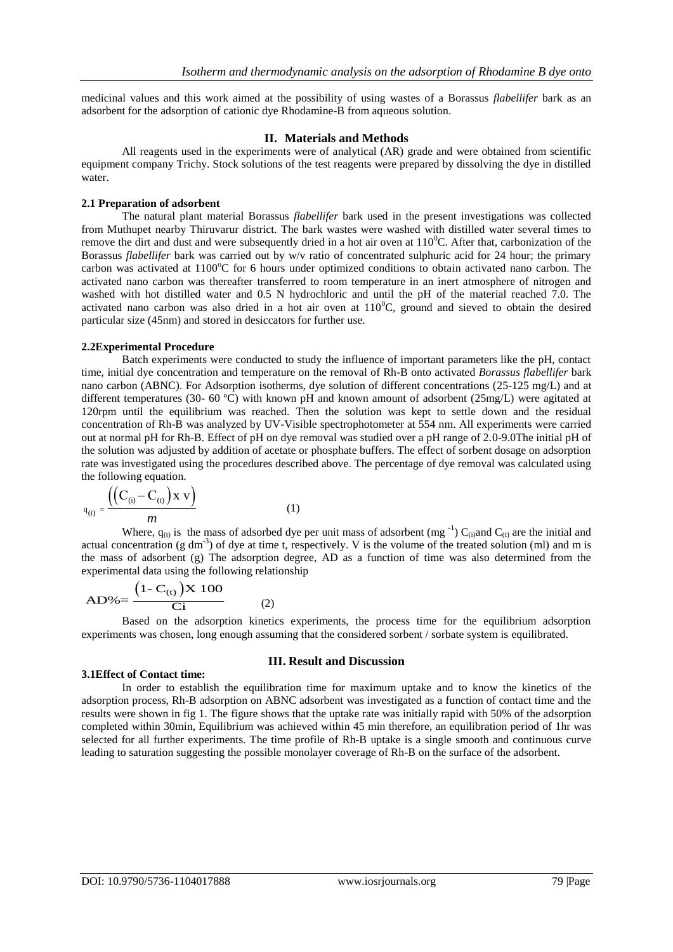medicinal values and this work aimed at the possibility of using wastes of a Borassus *flabellifer* bark as an adsorbent for the adsorption of cationic dye Rhodamine-B from aqueous solution.

#### **II. Materials and Methods**

All reagents used in the experiments were of analytical (AR) grade and were obtained from scientific equipment company Trichy. Stock solutions of the test reagents were prepared by dissolving the dye in distilled water.

#### **2.1 Preparation of adsorbent**

The natural plant material Borassus *flabellifer* bark used in the present investigations was collected from Muthupet nearby Thiruvarur district. The bark wastes were washed with distilled water several times to remove the dirt and dust and were subsequently dried in a hot air oven at  $110^{\circ}$ C. After that, carbonization of the Borassus *flabellifer* bark was carried out by w/v ratio of concentrated sulphuric acid for 24 hour; the primary carbon was activated at  $1100^{\circ}$ C for 6 hours under optimized conditions to obtain activated nano carbon. The activated nano carbon was thereafter transferred to room temperature in an inert atmosphere of nitrogen and washed with hot distilled water and 0.5 N hydrochloric and until the pH of the material reached 7.0. The activated nano carbon was also dried in a hot air oven at  $110^{\circ}$ C, ground and sieved to obtain the desired particular size (45nm) and stored in desiccators for further use.

#### **2.2Experimental Procedure**

Batch experiments were conducted to study the influence of important parameters like the pH, contact time, initial dye concentration and temperature on the removal of Rh-B onto activated *Borassus flabellifer* bark nano carbon (ABNC). For Adsorption isotherms, dye solution of different concentrations (25-125 mg/L) and at different temperatures (30- 60 °C) with known pH and known amount of adsorbent (25mg/L) were agitated at 120rpm until the equilibrium was reached. Then the solution was kept to settle down and the residual concentration of Rh-B was analyzed by UV-Visible spectrophotometer at 554 nm. All experiments were carried out at normal pH for Rh-B. Effect of pH on dye removal was studied over a pH range of 2.0-9.0The initial pH of the solution was adjusted by addition of acetate or phosphate buffers. The effect of sorbent dosage on adsorption rate was investigated using the procedures described above. The percentage of dye removal was calculated using the following equation.

$$
q_{(t)} = \frac{((C_{(i)} - C_{(t)}) \times v)}{m}
$$
 (1)

Where,  $q_{(t)}$  is the mass of adsorbed dye per unit mass of adsorbent (mg<sup>-1</sup>) C<sub>(i)</sub>and C<sub>(t)</sub> are the initial and actual concentration (g dm<sup>-3</sup>) of dye at time t, respectively. V is the volume of the treated solution (ml) and m is the mass of adsorbent (g) The adsorption degree, AD as a function of time was also determined from the experimental data using the following relationship

$$
AD\% = \frac{(1 - C_{(t)}) \times 100}{Ci}
$$
 (2)

Based on the adsorption kinetics experiments, the process time for the equilibrium adsorption experiments was chosen, long enough assuming that the considered sorbent / sorbate system is equilibrated.

#### **3.1Effect of Contact time:**

## **III. Result and Discussion**

In order to establish the equilibration time for maximum uptake and to know the kinetics of the adsorption process, Rh-B adsorption on ABNC adsorbent was investigated as a function of contact time and the results were shown in fig 1. The figure shows that the uptake rate was initially rapid with 50% of the adsorption completed within 30min, Equilibrium was achieved within 45 min therefore, an equilibration period of 1hr was selected for all further experiments. The time profile of Rh-B uptake is a single smooth and continuous curve leading to saturation suggesting the possible monolayer coverage of Rh-B on the surface of the adsorbent.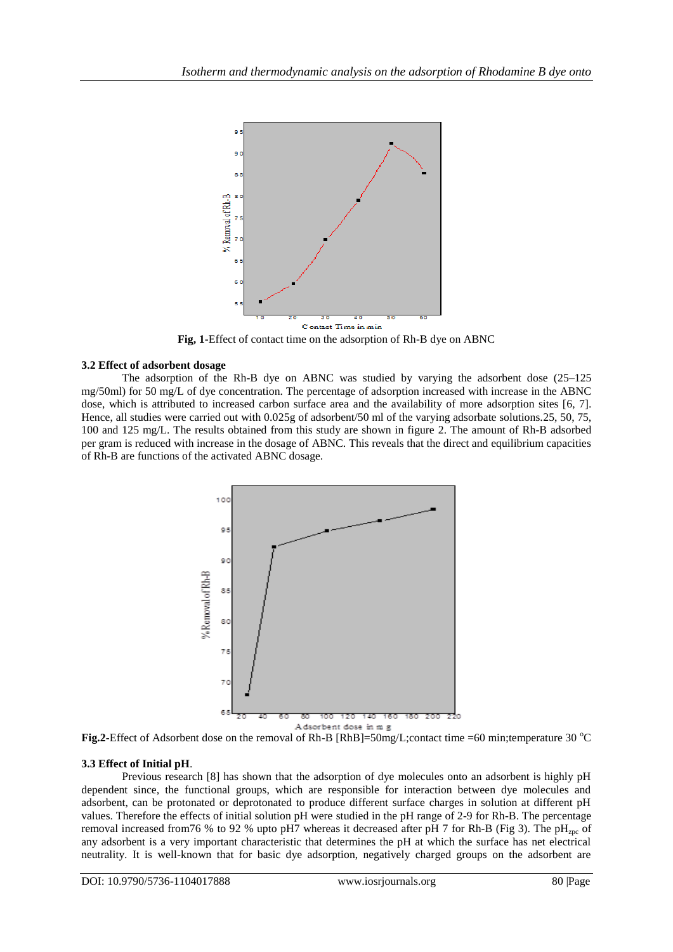

**Fig, 1-**Effect of contact time on the adsorption of Rh-B dye on ABNC

## **3.2 Effect of adsorbent dosage**

The adsorption of the Rh-B dye on ABNC was studied by varying the adsorbent dose (25–125 mg/50ml) for 50 mg/L of dye concentration. The percentage of adsorption increased with increase in the ABNC dose, which is attributed to increased carbon surface area and the availability of more adsorption sites [6, 7]. Hence, all studies were carried out with 0.025g of adsorbent/50 ml of the varying adsorbate solutions.25, 50, 75, 100 and 125 mg/L. The results obtained from this study are shown in figure 2. The amount of Rh-B adsorbed per gram is reduced with increase in the dosage of ABNC. This reveals that the direct and equilibrium capacities of Rh-B are functions of the activated ABNC dosage.



**Fig.2-**Effect of Adsorbent dose on the removal of Rh-B [RhB]=50mg/L;contact time =60 min;temperature 30 °C

#### **3.3 Effect of Initial pH**.

Previous research [8] has shown that the adsorption of dye molecules onto an adsorbent is highly pH dependent since, the functional groups, which are responsible for interaction between dye molecules and adsorbent, can be protonated or deprotonated to produce different surface charges in solution at different pH values. Therefore the effects of initial solution pH were studied in the pH range of 2-9 for Rh-B. The percentage removal increased from 76 % to 92 % upto pH7 whereas it decreased after pH 7 for Rh-B (Fig 3). The pH<sub>zpc</sub> of any adsorbent is a very important characteristic that determines the pH at which the surface has net electrical neutrality. It is well-known that for basic dye adsorption, negatively charged groups on the adsorbent are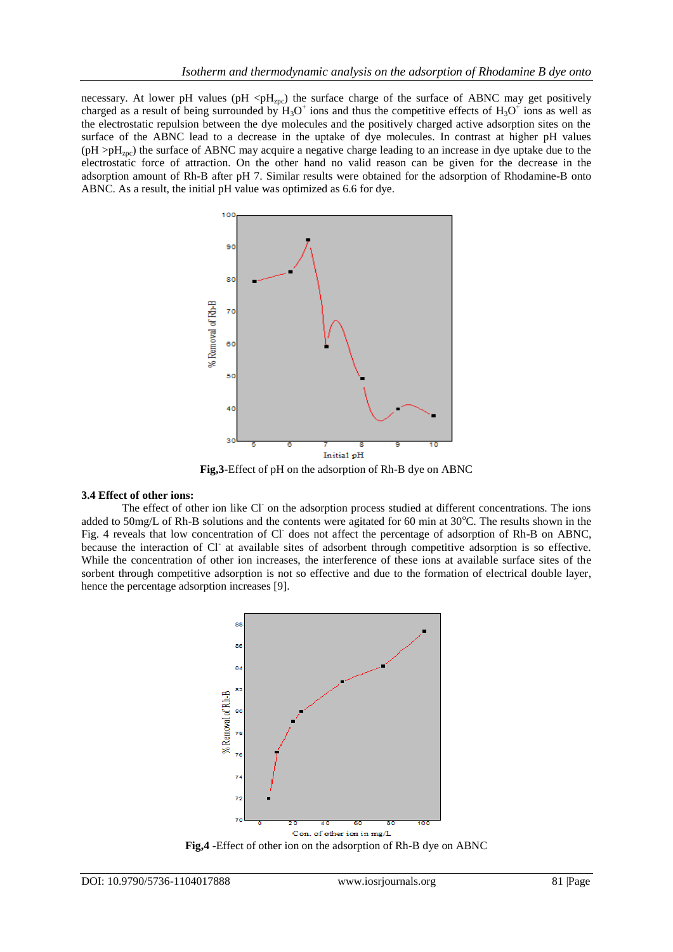necessary. At lower pH values (pH <p $H_{zpc}$ ) the surface charge of the surface of ABNC may get positively charged as a result of being surrounded by  $H_3O^+$  ions and thus the competitive effects of  $H_3O^+$  ions as well as the electrostatic repulsion between the dye molecules and the positively charged active adsorption sites on the surface of the ABNC lead to a decrease in the uptake of dye molecules. In contrast at higher pH values  $(pH > pH<sub>zpc</sub>)$  the surface of ABNC may acquire a negative charge leading to an increase in dye uptake due to the electrostatic force of attraction. On the other hand no valid reason can be given for the decrease in the adsorption amount of Rh-B after pH 7. Similar results were obtained for the adsorption of Rhodamine-B onto ABNC. As a result, the initial pH value was optimized as 6.6 for dye.



**Fig,3-**Effect of pH on the adsorption of Rh-B dye on ABNC

#### **3.4 Effect of other ions:**

The effect of other ion like Cl on the adsorption process studied at different concentrations. The ions added to 50mg/L of Rh-B solutions and the contents were agitated for 60 min at  $30^{\circ}$ C. The results shown in the Fig. 4 reveals that low concentration of Cl does not affect the percentage of adsorption of Rh-B on ABNC, because the interaction of Cl<sup>-</sup> at available sites of adsorbent through competitive adsorption is so effective. While the concentration of other ion increases, the interference of these ions at available surface sites of the sorbent through competitive adsorption is not so effective and due to the formation of electrical double layer, hence the percentage adsorption increases [9].



**Fig,4 -**Effect of other ion on the adsorption of Rh-B dye on ABNC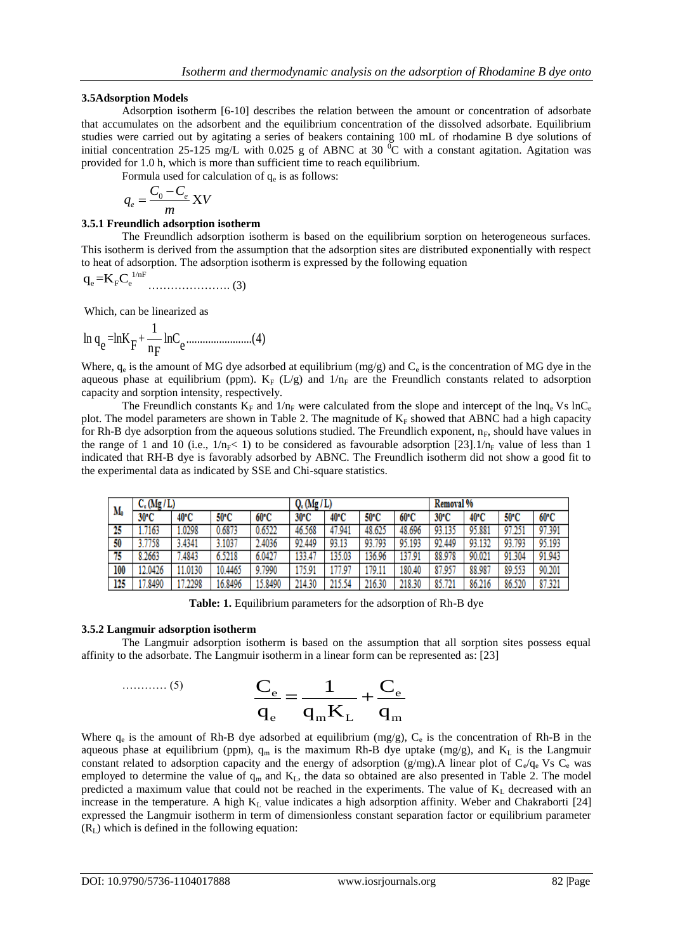## **3.5Adsorption Models**

Adsorption isotherm [6-10] describes the relation between the amount or concentration of adsorbate that accumulates on the adsorbent and the equilibrium concentration of the dissolved adsorbate. Equilibrium studies were carried out by agitating a series of beakers containing 100 mL of rhodamine B dye solutions of initial concentration 25-125 mg/L with 0.025 g of ABNC at 30  $^{\circ}$ C with a constant agitation. Agitation was provided for 1.0 h, which is more than sufficient time to reach equilibrium.

Formula used for calculation of  $q_e$  is as follows:

$$
q_e = \frac{C_0 - C_e}{m} XV
$$

## **3.5.1 Freundlich adsorption isotherm**

The Freundlich adsorption isotherm is based on the equilibrium sorption on heterogeneous surfaces. This isotherm is derived from the assumption that the adsorption sites are distributed exponentially with respect to heat of adsorption. The adsorption isotherm is expressed by the following equation

$$
q_e{=}K_{\rm F}C_{\rm e}^{\,\rm 1/nF}\hspace{1cm}\hspace{1cm}(3)
$$

Which, can be linearized as

$$
\ln q_e = \ln K_F + \frac{1}{n_F} \ln C_e \dots \dots \dots \dots \dots \dots \dots (4)
$$

Where,  $q_e$  is the amount of MG dye adsorbed at equilibrium (mg/g) and  $C_e$  is the concentration of MG dye in the aqueous phase at equilibrium (ppm).  $K_F$  (L/g) and  $1/n_F$  are the Freundlich constants related to adsorption capacity and sorption intensity, respectively.

The Freundlich constants  $K_F$  and  $1/n_F$  were calculated from the slope and intercept of the lnq<sub>e</sub> Vs lnC<sub>e</sub> plot. The model parameters are shown in Table 2. The magnitude of  $K_F$  showed that ABNC had a high capacity for Rh-B dye adsorption from the aqueous solutions studied. The Freundlich exponent,  $n_F$ , should have values in the range of 1 and 10 (i.e.,  $1/n_F < 1$ ) to be considered as favourable adsorption [23].  $1/n_F$  value of less than 1 indicated that RH-B dye is favorably adsorbed by ABNC. The Freundlich isotherm did not show a good fit to the experimental data as indicated by SSE and Chi-square statistics.

| M,  | $C_c(Mg/L)$ |        |         |         | $Q_c(Mg/L)$ |        |        |        | Removal % |        |        |        |
|-----|-------------|--------|---------|---------|-------------|--------|--------|--------|-----------|--------|--------|--------|
|     | 30°C        | 40°C   | 50°C    | 60°C    | 30°C        | 40°C   | 50°C   | 60°C   | 30°C      | 40°C   | 50°C   | 60°C   |
| 25  | .7163       | .0298  | 0.6873  | 0.6522  | 46.568      | 47.941 | 48.625 | 48.696 | 93.135    | 95.881 | 97.251 | 97.391 |
| 50  | 3.7758      | 3.4341 | 3.1037  | 2.4036  | 92.449      | 93.13  | 93.793 | 95.193 | 92.449    | 93.132 | 93.793 | 95.193 |
| 75  | 8.2663      | 7.4843 | 6.5218  | 6.0427  | 133.47      | 135.03 | 136.96 | 137.91 | 88.978    | 90.021 | 91.304 | 91.943 |
| 100 | 12.0426     | 1.0130 | 10.4465 | 9.7990  | 175.91      | 177.97 | 179.11 | 180.40 | 87.957    | 88.987 | 89.553 | 90.201 |
| 125 | 7.8490      | .2298  | 16.8496 | 15.8490 | 214.30      | 215.54 | 216.30 | 218.30 | 85.721    | 86.216 | 86.520 | 87.321 |

**Table: 1.** Equilibrium parameters for the adsorption of Rh-B dye

#### **3.5.2 Langmuir adsorption isotherm**

The Langmuir adsorption isotherm is based on the assumption that all sorption sites possess equal affinity to the adsorbate. The Langmuir isotherm in a linear form can be represented as: [23]

$$
C_e = \frac{C_e}{q_e} = \frac{1}{q_m K_L} + \frac{C_e}{q_m}
$$

Where  $q_e$  is the amount of Rh-B dye adsorbed at equilibrium (mg/g),  $C_e$  is the concentration of Rh-B in the aqueous phase at equilibrium (ppm),  $q_m$  is the maximum Rh-B dye uptake (mg/g), and  $K_L$  is the Langmuir constant related to adsorption capacity and the energy of adsorption (g/mg). A linear plot of  $C_e/q_e$  Vs  $C_e$  was employed to determine the value of  $q_m$  and  $K_L$ , the data so obtained are also presented in Table 2. The model predicted a maximum value that could not be reached in the experiments. The value of  $K<sub>L</sub>$  decreased with an increase in the temperature. A high  $K<sub>L</sub>$  value indicates a high adsorption affinity. Weber and Chakraborti [24] expressed the Langmuir isotherm in term of dimensionless constant separation factor or equilibrium parameter  $(R<sub>L</sub>)$  which is defined in the following equation: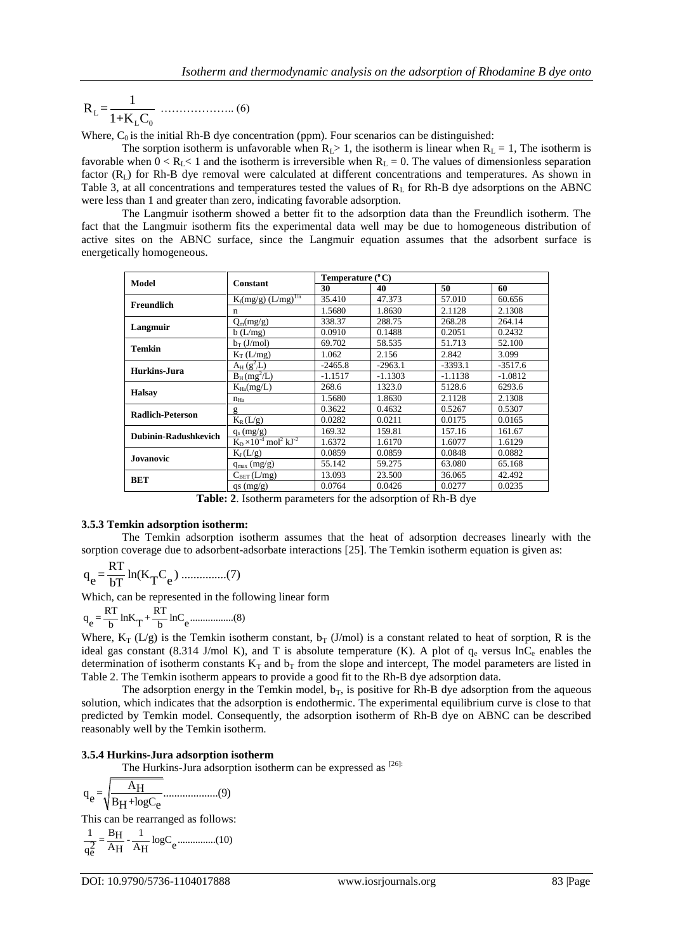L  $L \sim 0$  $R_{L} = \frac{1}{1 - K}$ 1+K C ……………….. (6)

Where,  $C_0$  is the initial Rh-B dye concentration (ppm). Four scenarios can be distinguished:

The sorption isotherm is unfavorable when  $R_1 > 1$ , the isotherm is linear when  $R_1 = 1$ , The isotherm is favorable when  $0 < R<sub>L</sub> < 1$  and the isotherm is irreversible when  $R<sub>L</sub> = 0$ . The values of dimensionless separation factor  $(R<sub>L</sub>)$  for Rh-B dye removal were calculated at different concentrations and temperatures. As shown in Table 3, at all concentrations and temperatures tested the values of  $R_L$  for Rh-B dye adsorptions on the ABNC were less than 1 and greater than zero, indicating favorable adsorption.

The Langmuir isotherm showed a better fit to the adsorption data than the Freundlich isotherm. The fact that the Langmuir isotherm fits the experimental data well may be due to homogeneous distribution of active sites on the ABNC surface, since the Langmuir equation assumes that the adsorbent surface is energetically homogeneous.

| Model                   | <b>Constant</b>                                 | Temperature (°C) |           |           |           |  |  |
|-------------------------|-------------------------------------------------|------------------|-----------|-----------|-----------|--|--|
|                         |                                                 | 30               | 40        | 50        | 60        |  |  |
| <b>Freundlich</b>       | $K_f(mg/g)$ $(L/mg)^{1/n}$                      | 35.410           | 47.373    | 57.010    | 60.656    |  |  |
|                         | n                                               | 1.5680           | 1.8630    | 2.1128    | 2.1308    |  |  |
| Langmuir                | $Q_m(mg/g)$                                     | 338.37           | 288.75    | 268.28    | 264.14    |  |  |
|                         | $b$ (L/mg)                                      | 0.0910           | 0.1488    | 0.2051    | 0.2432    |  |  |
| <b>Temkin</b>           | $b_T$ (J/mol)                                   | 69.702           | 58.535    | 51.713    | 52.100    |  |  |
|                         | $K_T(L/mg)$                                     | 1.062            | 2.156     | 2.842     | 3.099     |  |  |
| Hurkins-Jura            | $A_H(g^2/L)$                                    | $-2465.8$        | $-2963.1$ | $-3393.1$ | $-3517.6$ |  |  |
|                         | $B_H(mg^2/L)$                                   | $-1.1517$        | $-1.1303$ | $-1.1138$ | $-1.0812$ |  |  |
| <b>Halsay</b>           | $K_{Ha}(mg/L)$                                  | 268.6            | 1323.0    | 5128.6    | 6293.6    |  |  |
|                         | $n_{Ha}$                                        | 1.5680           | 1.8630    | 2.1128    | 2.1308    |  |  |
| <b>Radlich-Peterson</b> | g                                               | 0.3622           | 0.4632    | 0.5267    | 0.5307    |  |  |
|                         | $K_R(L/g)$                                      | 0.0282           | 0.0211    | 0.0175    | 0.0165    |  |  |
| Dubinin-Radushkevich    | $q_s$ (mg/g)                                    | 169.32           | 159.81    | 157.16    | 161.67    |  |  |
|                         | $K_D \times 10^{-4}$ mol <sup>2</sup> $kJ^{-2}$ | 1.6372           | 1.6170    | 1.6077    | 1.6129    |  |  |
| Jovanovic               | $K_J(L/g)$                                      | 0.0859           | 0.0859    | 0.0848    | 0.0882    |  |  |
|                         | $q_{max}(mg/g)$                                 | 55.142           | 59.275    | 63.080    | 65.168    |  |  |
| <b>BET</b>              | $C_{BET}(L/mg)$                                 | 13.093           | 23.500    | 36.065    | 42.492    |  |  |
|                         | $qs$ (mg/g)                                     | 0.0764           | 0.0426    | 0.0277    | 0.0235    |  |  |

**Table: 2**. Isotherm parameters for the adsorption of Rh-B dye

#### **3.5.3 Temkin adsorption isotherm:**

The Temkin adsorption isotherm assumes that the heat of adsorption decreases linearly with the sorption coverage due to adsorbent-adsorbate interactions [25]. The Temkin isotherm equation is given as:

$$
q_e = \frac{RT}{bT} \ln(K_T C_e)
$$
 .........(7)

Which, can be represented in the following linear form<br> $R = \frac{RT}{R} \ln K + \frac{RT}{R} \ln C$ 

$$
q_e = \frac{RT}{b} lnK_T + \frac{RT}{b} lnC_e \dots (8)
$$

Where,  $K_T(L/g)$  is the Temkin isotherm constant,  $b_T(J/mol)$  is a constant related to heat of sorption, R is the ideal gas constant (8.314 J/mol K), and T is absolute temperature (K). A plot of  $q_e$  versus lnC<sub>e</sub> enables the determination of isotherm constants  $K_T$  and  $b_T$  from the slope and intercept, The model parameters are listed in Table 2. The Temkin isotherm appears to provide a good fit to the Rh-B dye adsorption data.

The adsorption energy in the Temkin model,  $b_T$ , is positive for Rh-B dye adsorption from the aqueous solution, which indicates that the adsorption is endothermic. The experimental equilibrium curve is close to that predicted by Temkin model. Consequently, the adsorption isotherm of Rh-B dye on ABNC can be described reasonably well by the Temkin isotherm.

#### **3.5.4 Hurkins-Jura adsorption isotherm**

The Hurkins-Jura adsorption isotherm can be expressed as  $^{[26]}$ :

AH q = ....................(9) <sup>e</sup> B +logC H e

This can be rearranged as follows:

1 B 1 <sup>H</sup> = - logC ...............(10) <sup>2</sup> A A <sup>e</sup> qe H H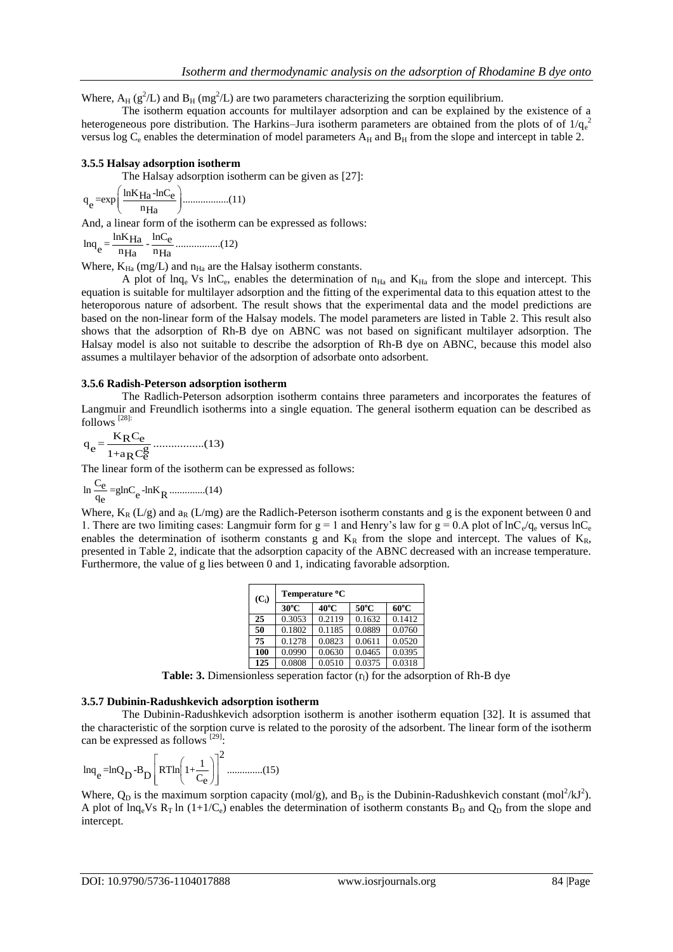Where,  $A_H$  ( $g^2/L$ ) and  $B_H$  (m $g^2/L$ ) are two parameters characterizing the sorption equilibrium.

The isotherm equation accounts for multilayer adsorption and can be explained by the existence of a heterogeneous pore distribution. The Harkins–Jura isotherm parameters are obtained from the plots of of  $1/q_e^2$ versus log  $C_e$  enables the determination of model parameters  $A_H$  and  $B_H$  from the slope and intercept in table 2.

#### **3.5.5 Halsay adsorption isotherm**

The Halsay adsorption isotherm can be given as [27]:  
\n
$$
q_e = exp\left(\frac{lnK_{Ha} - lnC_e}{n_{Ha}}\right)
$$
.................(11)

And, a linear form of the isotherm can be expressed as follows:

lnK lnC Ha e lnq = - .................(12)  $e = \frac{mR_{\text{H}a}}{n_{\text{H}a}} - \frac{mC_{\text{e}}}{n_{\text{H}a}}$ 

Where,  $K_{Ha}$  (mg/L) and  $n_{Ha}$  are the Halsay isotherm constants.

A plot of  $ln q_e$  Vs  $ln C_e$ , enables the determination of  $n_{Ha}$  and  $K_{Ha}$  from the slope and intercept. This equation is suitable for multilayer adsorption and the fitting of the experimental data to this equation attest to the heteroporous nature of adsorbent. The result shows that the experimental data and the model predictions are based on the non-linear form of the Halsay models. The model parameters are listed in Table 2. This result also shows that the adsorption of Rh-B dye on ABNC was not based on significant multilayer adsorption. The Halsay model is also not suitable to describe the adsorption of Rh-B dye on ABNC, because this model also assumes a multilayer behavior of the adsorption of adsorbate onto adsorbent.

#### **3.5.6 Radish-Peterson adsorption isotherm**

The Radlich-Peterson adsorption isotherm contains three parameters and incorporates the features of Langmuir and Freundlich isotherms into a single equation. The general isotherm equation can be described as follows [28]:

$$
q_e = \frac{K_R C_e}{1 + a_R C_e^g}
$$
.................(13)

The linear form of the isotherm can be expressed as follows:

$$
\ln \frac{C_e}{q_e} = g \ln C_e - \ln K_R \dots \dots \dots \dots \dots (14)
$$

Where,  $K_R$  (L/g) and  $a_R$  (L/mg) are the Radlich-Peterson isotherm constants and g is the exponent between 0 and 1. There are two limiting cases: Langmuir form for  $g = 1$  and Henry's law for  $g = 0.A$  plot of  $lnC_e/q_e$  versus  $lnC_e$ enables the determination of isotherm constants g and  $K_R$  from the slope and intercept. The values of  $K_R$ , presented in Table 2, indicate that the adsorption capacity of the ABNC decreased with an increase temperature. Furthermore, the value of g lies between 0 and 1, indicating favorable adsorption.

| $(C_i)$ | Temperature °C |        |                |                |  |  |  |  |
|---------|----------------|--------|----------------|----------------|--|--|--|--|
|         | $30^{\circ}$ C | 40°C   | $50^{\circ}$ C | $60^{\circ}$ C |  |  |  |  |
| 25      | 0.3053         | 0.2119 | 0.1632         | 0.1412         |  |  |  |  |
| 50      | 0.1802         | 0.1185 | 0.0889         | 0.0760         |  |  |  |  |
| 75      | 0.1278         | 0.0823 | 0.0611         | 0.0520         |  |  |  |  |
| 100     | 0.0990         | 0.0630 | 0.0465         | 0.0395         |  |  |  |  |
| 125     | 0.0808         | 0.0510 | 0.0375         | 0.0318         |  |  |  |  |

**Table: 3.** Dimensionless seperation factor  $(r<sub>l</sub>)$  for the adsorption of Rh-B dye

#### **3.5.7 Dubinin-Radushkevich adsorption isotherm**

The Dubinin-Radushkevich adsorption isotherm is another isotherm equation [32]. It is assumed that the characteristic of the sorption curve is related to the porosity of the adsorbent. The linear form of the isotherm can be expressed as follows  $^{[29]}$ :

$$
\ln q_e = \ln Q_D - B_D \left[ RT \ln \left( 1 + \frac{1}{C_e} \right) \right]^2 \dots \dots \dots \dots (15)
$$

Where,  $Q_D$  is the maximum sorption capacity (mol/g), and  $B_D$  is the Dubinin-Radushkevich constant (mol<sup>2</sup>/kJ<sup>2</sup>). A plot of lnq<sub>e</sub>Vs R<sub>T</sub> ln (1+1/C<sub>e</sub>) enables the determination of isotherm constants B<sub>D</sub> and Q<sub>D</sub> from the slope and intercept.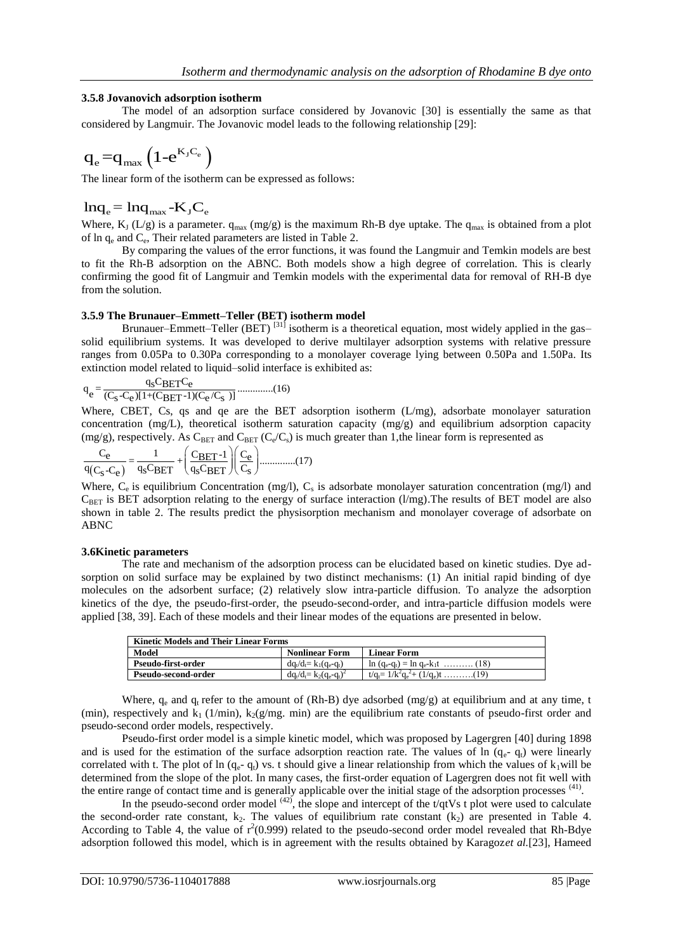## **3.5.8 Jovanovich adsorption isotherm**

The model of an adsorption surface considered by Jovanovic [30] is essentially the same as that considered by Langmuir. The Jovanovic model leads to the following relationship [29]:

$$
q_{\mathrm{e}}{=}q_{\mathrm{max}}\left(1{\mathrm{e}^{{K_{\mathrm{J}}C_{\mathrm{e}}}}}\right)
$$

The linear form of the isotherm can be expressed as follows:

## $ln q_e = ln q_{max}$  -K<sub>J</sub>C<sub>e</sub>

Where,  $K_J (L/g)$  is a parameter.  $q_{max} (mg/g)$  is the maximum Rh-B dye uptake. The  $q_{max}$  is obtained from a plot of  $\ln q_e$  and  $C_e$ , Their related parameters are listed in Table 2.

By comparing the values of the error functions, it was found the Langmuir and Temkin models are best to fit the Rh-B adsorption on the ABNC. Both models show a high degree of correlation. This is clearly confirming the good fit of Langmuir and Temkin models with the experimental data for removal of RH-B dye from the solution.

## **3.5.9 The Brunauer–Emmett–Teller (BET) isotherm model**

Brunauer–Emmett–Teller (BET)<sup>[31]</sup> isotherm is a theoretical equation, most widely applied in the gas– solid equilibrium systems. It was developed to derive multilayer adsorption systems with relative pressure ranges from 0.05Pa to 0.30Pa corresponding to a monolayer coverage lying between 0.50Pa and 1.50Pa. Its

extinction model related to liquid–solid interface is exhibited as:  
\n
$$
q_e = \frac{q_s C_B E T C_e}{(C_s - C_e)[1 + (C_B E T^{-1})(C_e/C_s)]}
$$
........(16)

Where, CBET, Cs, qs and qe are the BET adsorption isotherm (L/mg), adsorbate monolayer saturation concentration (mg/L), theoretical isotherm saturation capacity (mg/g) and equilibrium adsorption capacity

(mg/g), respectively. As C<sub>BET</sub> and C<sub>BET</sub> (C<sub>e</sub>/C<sub>s</sub>) is much greater than 1, the linear form is represented as\n
$$
\frac{C_e}{q(C_s-C_e)} = \frac{1}{q_s C_{BET}} + \left(\frac{C_{BET} - 1}{q_s C_{BET}}\right) \left(\frac{C_e}{C_s}\right) \dots \dots \dots \dots (17)
$$

Where,  $C_e$  is equilibrium Concentration (mg/l),  $C_s$  is adsorbate monolayer saturation concentration (mg/l) and  $C_{BET}$  is BET adsorption relating to the energy of surface interaction (l/mg). The results of BET model are also shown in table 2. The results predict the physisorption mechanism and monolayer coverage of adsorbate on ABNC

#### **3.6Kinetic parameters**

The rate and mechanism of the adsorption process can be elucidated based on kinetic studies. Dye adsorption on solid surface may be explained by two distinct mechanisms: (1) An initial rapid binding of dye molecules on the adsorbent surface; (2) relatively slow intra-particle diffusion. To analyze the adsorption kinetics of the dye, the pseudo-first-order, the pseudo-second-order, and intra-particle diffusion models were applied [38, 39]. Each of these models and their linear modes of the equations are presented in below.

| <b>Kinetic Models and Their Linear Forms</b> |                             |                                          |  |  |  |  |  |  |
|----------------------------------------------|-----------------------------|------------------------------------------|--|--|--|--|--|--|
| Model                                        | <b>Nonlinear Form</b>       | <b>Linear Form</b>                       |  |  |  |  |  |  |
| Pseudo-first-order                           | $dq_t/d_t = k_1(q_e-q_t)$   | $\ln (q_e - q_t) = \ln q_e - k_1 t$ (18) |  |  |  |  |  |  |
| Pseudo-second-order                          | $dq_t/d_t = k_2(q_e-q_t)^2$ | $t/q_f = 1/k^2 q_e^2 + (1/q_e)t$ (19)    |  |  |  |  |  |  |

Where,  $q_e$  and  $q_t$  refer to the amount of (Rh-B) dye adsorbed (mg/g) at equilibrium and at any time, t (min), respectively and  $k_1$  (1/min),  $k_2(g/mg.$  min) are the equilibrium rate constants of pseudo-first order and pseudo-second order models, respectively.

Pseudo-first order model is a simple kinetic model, which was proposed by Lagergren [40] during 1898 and is used for the estimation of the surface adsorption reaction rate. The values of  $\ln (q_e - q_t)$  were linearly correlated with t. The plot of ln  $(q_e - q_t)$  vs. t should give a linear relationship from which the values of  $k_1$ will be determined from the slope of the plot. In many cases, the first-order equation of Lagergren does not fit well with the entire range of contact time and is generally applicable over the initial stage of the adsorption processes <sup>(41)</sup>.

In the pseudo-second order model  $(42)$ , the slope and intercept of the t/qtVs t plot were used to calculate the second-order rate constant,  $k_2$ . The values of equilibrium rate constant  $(k_2)$  are presented in Table 4. According to Table 4, the value of  $r^2(0.999)$  related to the pseudo-second order model revealed that Rh-Bdye adsorption followed this model, which is in agreement with the results obtained by Karagoz*et al.*[23], Hameed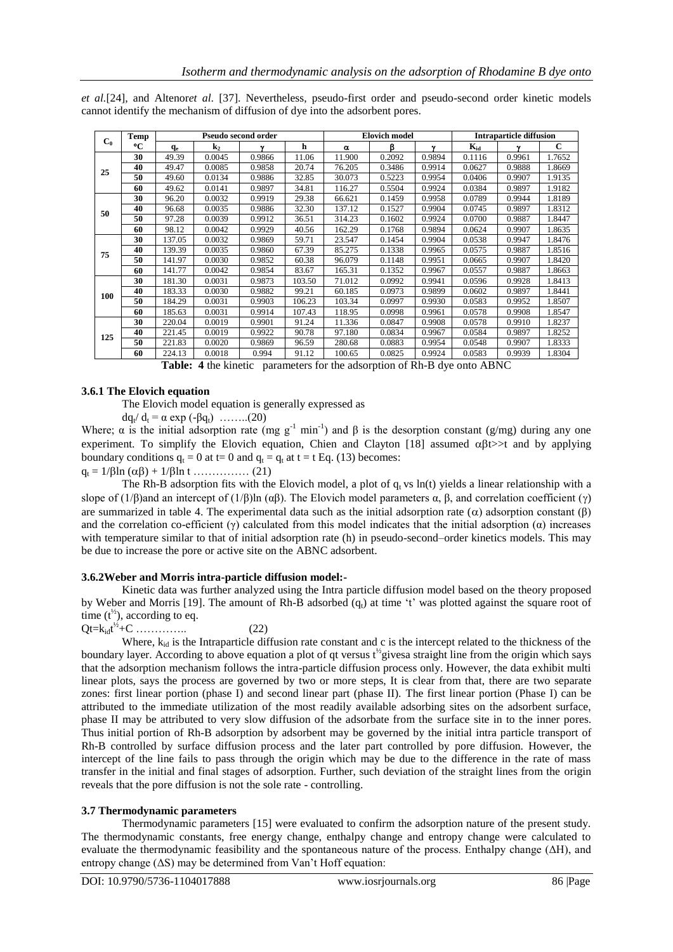*et al.*[24], and Altenor*et al*. [37]. Nevertheless, pseudo-first order and pseudo-second order kinetic models cannot identify the mechanism of diffusion of dye into the adsorbent pores.

| C <sub>0</sub> | Temp |        |                | Pseudo second order |        |          | <b>Elovich model</b> |             | <b>Intraparticle diffusion</b> |              |        |
|----------------|------|--------|----------------|---------------------|--------|----------|----------------------|-------------|--------------------------------|--------------|--------|
|                | °C   | $q_e$  | $\mathbf{k}_2$ | ν                   | h      | $\alpha$ | ß                    | $\mathbf v$ | $K_{id}$                       | $\mathbf{v}$ | C      |
| 25             | 30   | 49.39  | 0.0045         | 0.9866              | 11.06  | 11.900   | 0.2092               | 0.9894      | 0.1116                         | 0.9961       | 1.7652 |
|                | 40   | 49.47  | 0.0085         | 0.9858              | 20.74  | 76.205   | 0.3486               | 0.9914      | 0.0627                         | 0.9888       | 1.8669 |
|                | 50   | 49.60  | 0.0134         | 0.9886              | 32.85  | 30.073   | 0.5223               | 0.9954      | 0.0406                         | 0.9907       | 1.9135 |
|                | 60   | 49.62  | 0.0141         | 0.9897              | 34.81  | 116.27   | 0.5504               | 0.9924      | 0.0384                         | 0.9897       | 1.9182 |
|                | 30   | 96.20  | 0.0032         | 0.9919              | 29.38  | 66.621   | 0.1459               | 0.9958      | 0.0789                         | 0.9944       | 1.8189 |
| 50             | 40   | 96.68  | 0.0035         | 0.9886              | 32.30  | 137.12   | 0.1527               | 0.9904      | 0.0745                         | 0.9897       | 1.8312 |
|                | 50   | 97.28  | 0.0039         | 0.9912              | 36.51  | 314.23   | 0.1602               | 0.9924      | 0.0700                         | 0.9887       | 1.8447 |
|                | 60   | 98.12  | 0.0042         | 0.9929              | 40.56  | 162.29   | 0.1768               | 0.9894      | 0.0624                         | 0.9907       | 1.8635 |
|                | 30   | 137.05 | 0.0032         | 0.9869              | 59.71  | 23.547   | 0.1454               | 0.9904      | 0.0538                         | 0.9947       | 1.8476 |
| 75             | 40   | 139.39 | 0.0035         | 0.9860              | 67.39  | 85.275   | 0.1338               | 0.9965      | 0.0575                         | 0.9887       | 1.8516 |
|                | 50   | 141.97 | 0.0030         | 0.9852              | 60.38  | 96.079   | 0.1148               | 0.9951      | 0.0665                         | 0.9907       | 1.8420 |
|                | 60   | 141.77 | 0.0042         | 0.9854              | 83.67  | 165.31   | 0.1352               | 0.9967      | 0.0557                         | 0.9887       | 1.8663 |
|                | 30   | 181.30 | 0.0031         | 0.9873              | 103.50 | 71.012   | 0.0992               | 0.9941      | 0.0596                         | 0.9928       | 1.8413 |
| 100            | 40   | 183.33 | 0.0030         | 0.9882              | 99.21  | 60.185   | 0.0973               | 0.9899      | 0.0602                         | 0.9897       | 1.8441 |
|                | 50   | 184.29 | 0.0031         | 0.9903              | 106.23 | 103.34   | 0.0997               | 0.9930      | 0.0583                         | 0.9952       | 1.8507 |
|                | 60   | 185.63 | 0.0031         | 0.9914              | 107.43 | 118.95   | 0.0998               | 0.9961      | 0.0578                         | 0.9908       | 1.8547 |
|                | 30   | 220.04 | 0.0019         | 0.9901              | 91.24  | 11.336   | 0.0847               | 0.9908      | 0.0578                         | 0.9910       | 1.8237 |
| 125            | 40   | 221.45 | 0.0019         | 0.9922              | 90.78  | 97.180   | 0.0834               | 0.9967      | 0.0584                         | 0.9897       | 1.8252 |
|                | 50   | 221.83 | 0.0020         | 0.9869              | 96.59  | 280.68   | 0.0883               | 0.9954      | 0.0548                         | 0.9907       | 1.8333 |
|                | 60   | 224.13 | 0.0018         | 0.994               | 91.12  | 100.65   | 0.0825               | 0.9924      | 0.0583                         | 0.9939       | 1.8304 |

**Table: 4** the kinetic parameters for the adsorption of Rh-B dye onto ABNC

#### **3.6.1 The Elovich equation**

The Elovich model equation is generally expressed as

 $dq_t/d_t = α \exp(-βq_t)$  .......(20)

Where;  $\alpha$  is the initial adsorption rate (mg g<sup>-1</sup> min<sup>-1</sup>) and  $\beta$  is the desorption constant (g/mg) during any one experiment. To simplify the Elovich equation, Chien and Clayton [18] assumed  $\alpha\beta t$  to and by applying boundary conditions  $q_t = 0$  at t= 0 and  $q_t = q_t$  at t = t Eq. (13) becomes:  $q_t = 1/\beta \ln (\alpha \beta) + 1/\beta \ln t$  …………… (21)

The Rh-B adsorption fits with the Elovich model, a plot of  $q_t$  vs ln(t) yields a linear relationship with a slope of (1/β)and an intercept of (1/β)ln ( $\alpha\beta$ ). The Elovich model parameters  $\alpha$ ,  $\beta$ , and correlation coefficient ( $\gamma$ ) are summarized in table 4. The experimental data such as the initial adsorption rate ( $\alpha$ ) adsorption constant ( $\beta$ ) and the correlation co-efficient  $(\gamma)$  calculated from this model indicates that the initial adsorption  $(\alpha)$  increases with temperature similar to that of initial adsorption rate (h) in pseudo-second–order kinetics models. This may be due to increase the pore or active site on the ABNC adsorbent.

#### **3.6.2Weber and Morris intra-particle diffusion model:-**

Kinetic data was further analyzed using the Intra particle diffusion model based on the theory proposed by Weber and Morris [19]. The amount of Rh-B adsorbed  $(q_t)$  at time 't' was plotted against the square root of time  $(t^{\frac{1}{2}})$ , according to eq.

Qt= $k_{id}t^{\frac{1}{2}}+C$  …………... (22)

Where,  $k_{i,d}$  is the Intraparticle diffusion rate constant and c is the intercept related to the thickness of the boundary layer. According to above equation a plot of qt versus  $t^{\frac{1}{2}}$ givesa straight line from the origin which says that the adsorption mechanism follows the intra-particle diffusion process only. However, the data exhibit multi linear plots, says the process are governed by two or more steps, It is clear from that, there are two separate zones: first linear portion (phase I) and second linear part (phase II). The first linear portion (Phase I) can be attributed to the immediate utilization of the most readily available adsorbing sites on the adsorbent surface, phase II may be attributed to very slow diffusion of the adsorbate from the surface site in to the inner pores. Thus initial portion of Rh-B adsorption by adsorbent may be governed by the initial intra particle transport of Rh-B controlled by surface diffusion process and the later part controlled by pore diffusion. However, the intercept of the line fails to pass through the origin which may be due to the difference in the rate of mass transfer in the initial and final stages of adsorption. Further, such deviation of the straight lines from the origin reveals that the pore diffusion is not the sole rate - controlling.

#### **3.7 Thermodynamic parameters**

Thermodynamic parameters [15] were evaluated to confirm the adsorption nature of the present study. The thermodynamic constants, free energy change, enthalpy change and entropy change were calculated to evaluate the thermodynamic feasibility and the spontaneous nature of the process. Enthalpy change ( $\Delta H$ ), and entropy change  $( \Delta S)$  may be determined from Van't Hoff equation: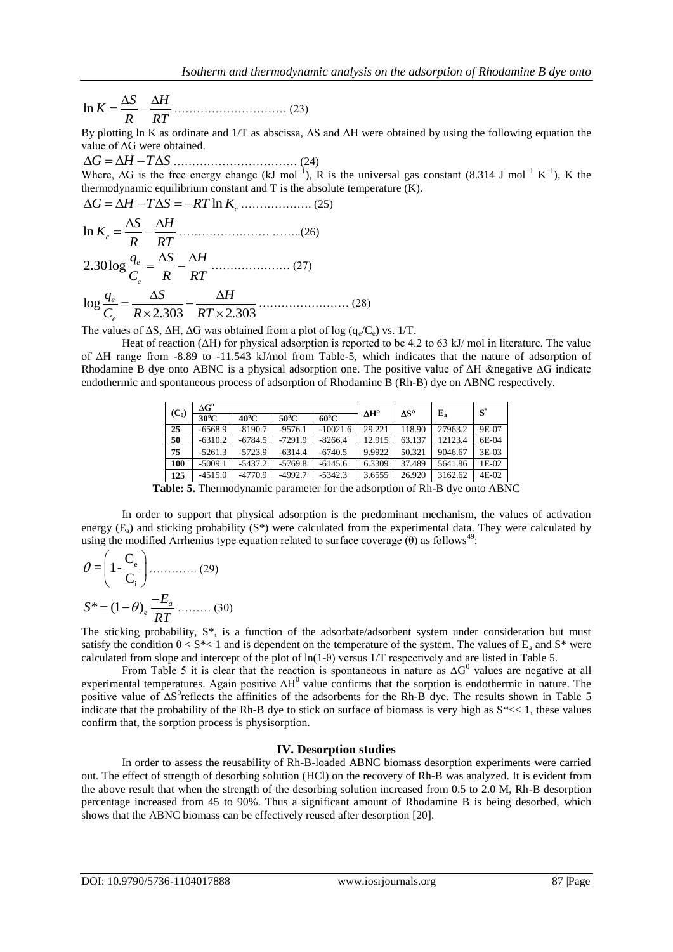$$
\ln K = \frac{\Delta S}{R} - \frac{\Delta H}{RT}
$$
 (23)

By plotting ln K as ordinate and 1/T as abscissa, ΔS and ΔH were obtained by using the following equation the value of ΔG were obtained.

 *G H T S* …………………………… (24) Where,  $\Delta G$  is the free energy change (kJ mol<sup>-1</sup>), R is the universal gas constant (8.314 J mol<sup>-1</sup> K<sup>-1</sup>), K the thermodynamic equilibrium constant and T is the absolute temperature (K).<br> $\Delta G = \Delta H - T \Delta S = -RT \ln K_c$  ………………. (25)

$$
\ln K_c = \frac{\Delta S}{R} - \frac{\Delta H}{RT}
$$
\n
$$
2.30 \log \frac{q_e}{C_e} = \frac{\Delta S}{R} - \frac{\Delta H}{RT}
$$
\n
$$
\log \frac{q_e}{C_e} = \frac{\Delta S}{R \times 2.303} - \frac{\Delta H}{RT \times 2.303}
$$
\n(28)

The values of  $\Delta S$ ,  $\Delta H$ ,  $\Delta G$  was obtained from a plot of log ( $q_e/C_e$ ) vs. 1/T.

Heat of reaction (ΔH) for physical adsorption is reported to be 4.2 to 63 kJ/ mol in literature. The value of ΔH range from -8.89 to -11.543 kJ/mol from Table-5, which indicates that the nature of adsorption of Rhodamine B dye onto ABNC is a physical adsorption one. The positive value of ΔH &negative ΔG indicate endothermic and spontaneous process of adsorption of Rhodamine B (Rh-B) dye on ABNC respectively.

| $(C_0)$ | $\Delta G^{\rm o}$ |                |                |                | $\Delta H^{\circ}$ | $\Delta S^{\circ}$ | ${\bf E_a}$ | $S^*$ |
|---------|--------------------|----------------|----------------|----------------|--------------------|--------------------|-------------|-------|
|         | $30^{\circ}$ C     | $40^{\circ}$ C | $50^{\circ}$ C | $60^{\circ}$ C |                    |                    |             |       |
| 25      | $-6568.9$          | $-8190.7$      | $-9576.1$      | $-10021.6$     | 29.221             | 118.90             | 27963.2     | 9E-07 |
| 50      | $-6310.2$          | $-6784.5$      | $-7291.9$      | $-8266.4$      | 12.915             | 63.137             | 12123.4     | 6E-04 |
| 75      | $-5261.3$          | $-5723.9$      | $-6314.4$      | $-6740.5$      | 9.9922             | 50.321             | 9046.67     | 3E-03 |
| 100     | $-5009.1$          | $-5437.2$      | $-5769.8$      | $-6145.6$      | 6.3309             | 37.489             | 5641.86     | 1E-02 |
| 125     | $-4515.0$          | -4770.9        | $-4992.7$      | $-5342.3$      | 3.6555             | 26.920             | 3162.62     | 4E-02 |

**Table: 5.** Thermodynamic parameter for the adsorption of Rh-B dye onto ABNC

In order to support that physical adsorption is the predominant mechanism, the values of activation energy  $(E_a)$  and sticking probability  $(S^*)$  were calculated from the experimental data. They were calculated by using the modified Arrhenius type equation related to surface coverage  $(\theta)$  as follows<sup>49</sup>:

$$
\theta = \left(1 - \frac{C_e}{C_i}\right) \dots \dots \dots \dots \dots (29)
$$

$$
S^* = (1 - \theta)_e \frac{-E_a}{RT} \dots \dots \dots (30)
$$

The sticking probability, S\*, is a function of the adsorbate/adsorbent system under consideration but must satisfy the condition  $0 < S^*$ < 1 and is dependent on the temperature of the system. The values of  $E_a$  and  $S^*$  were calculated from slope and intercept of the plot of ln(1-θ) versus 1/T respectively and are listed in Table 5.

From Table 5 it is clear that the reaction is spontaneous in nature as  $\Delta G^0$  values are negative at all experimental temperatures. Again positive  $\Delta H^0$  value confirms that the sorption is endothermic in nature. The positive value of  $\Delta S^0$  reflects the affinities of the adsorbents for the Rh-B dye. The results shown in Table 5 indicate that the probability of the Rh-B dye to stick on surface of biomass is very high as S\*<< 1, these values confirm that, the sorption process is physisorption.

#### **IV. Desorption studies**

In order to assess the reusability of Rh-B-loaded ABNC biomass desorption experiments were carried out. The effect of strength of desorbing solution (HCl) on the recovery of Rh-B was analyzed. It is evident from the above result that when the strength of the desorbing solution increased from 0.5 to 2.0 M, Rh-B desorption percentage increased from 45 to 90%. Thus a significant amount of Rhodamine B is being desorbed, which shows that the ABNC biomass can be effectively reused after desorption [20].